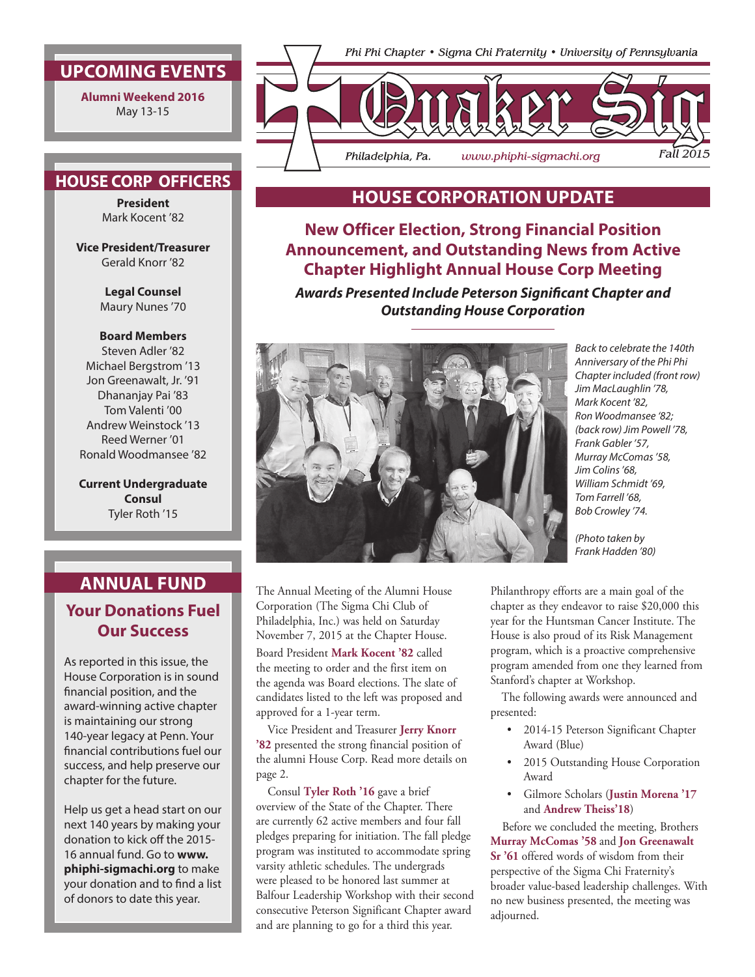## **UPCOMING EVENTS**

**Alumni Weekend 2016** May 13-15

### **HOUSE CORP OFFICERS**

**President** Mark Kocent '82

**Vice President/Treasurer** Gerald Knorr '82

> **Legal Counsel** Maury Nunes '70

#### **Board Members**

Steven Adler '82 Michael Bergstrom '13 Jon Greenawalt, Jr. '91 Dhananjay Pai '83 Tom Valenti '00 Andrew Weinstock '13 Reed Werner '01 Ronald Woodmansee '82

**Current Undergraduate Consul** Tyler Roth '15

# **ANNUAL FUND**

## **Your Donations Fuel Our Success**

As reported in this issue, the House Corporation is in sound financial position, and the award-winning active chapter is maintaining our strong 140-year legacy at Penn. Your financial contributions fuel our success, and help preserve our chapter for the future.

Help us get a head start on our next 140 years by making your donation to kick off the 2015- 16 annual fund. Go to **www. phiphi-sigmachi.org** to make your donation and to find a list of donors to date this year.



## **HOUSE CORPORATION UPDATE**

**New Officer Election, Strong Financial Position Announcement, and Outstanding News from Active Chapter Highlight Annual House Corp Meeting**

*Awards Presented Include Peterson Significant Chapter and Outstanding House Corporation*



The Annual Meeting of the Alumni House Corporation (The Sigma Chi Club of Philadelphia, Inc.) was held on Saturday November 7, 2015 at the Chapter House. Board President **Mark Kocent '82** called the meeting to order and the first item on

the agenda was Board elections. The slate of candidates listed to the left was proposed and approved for a 1-year term.

Vice President and Treasurer **Jerry Knorr '82** presented the strong financial position of the alumni House Corp. Read more details on page 2.

Consul **Tyler Roth '16** gave a brief overview of the State of the Chapter. There are currently 62 active members and four fall pledges preparing for initiation. The fall pledge program was instituted to accommodate spring varsity athletic schedules. The undergrads were pleased to be honored last summer at Balfour Leadership Workshop with their second consecutive Peterson Significant Chapter award and are planning to go for a third this year.

*Back to celebrate the 140th Anniversary of the Phi Phi Chapter included (front row) Jim MacLaughlin '78, Mark Kocent '82, Ron Woodmansee '82; (back row) Jim Powell '78, Frank Gabler '57, Murray McComas '58, Jim Colins '68, William Schmidt '69, Tom Farrell '68, Bob Crowley '74.*

*(Photo taken by Frank Hadden '80)*

Philanthropy efforts are a main goal of the chapter as they endeavor to raise \$20,000 this year for the Huntsman Cancer Institute. The House is also proud of its Risk Management program, which is a proactive comprehensive program amended from one they learned from Stanford's chapter at Workshop.

The following awards were announced and presented:

- 2014-15 Peterson Significant Chapter Award (Blue)
- 2015 Outstanding House Corporation Award
- Gilmore Scholars (**Justin Morena '17** and **Andrew Theiss'18**)

Before we concluded the meeting, Brothers **Murray McComas '58** and **Jon Greenawalt Sr '61** offered words of wisdom from their perspective of the Sigma Chi Fraternity's broader value-based leadership challenges. With no new business presented, the meeting was adjourned.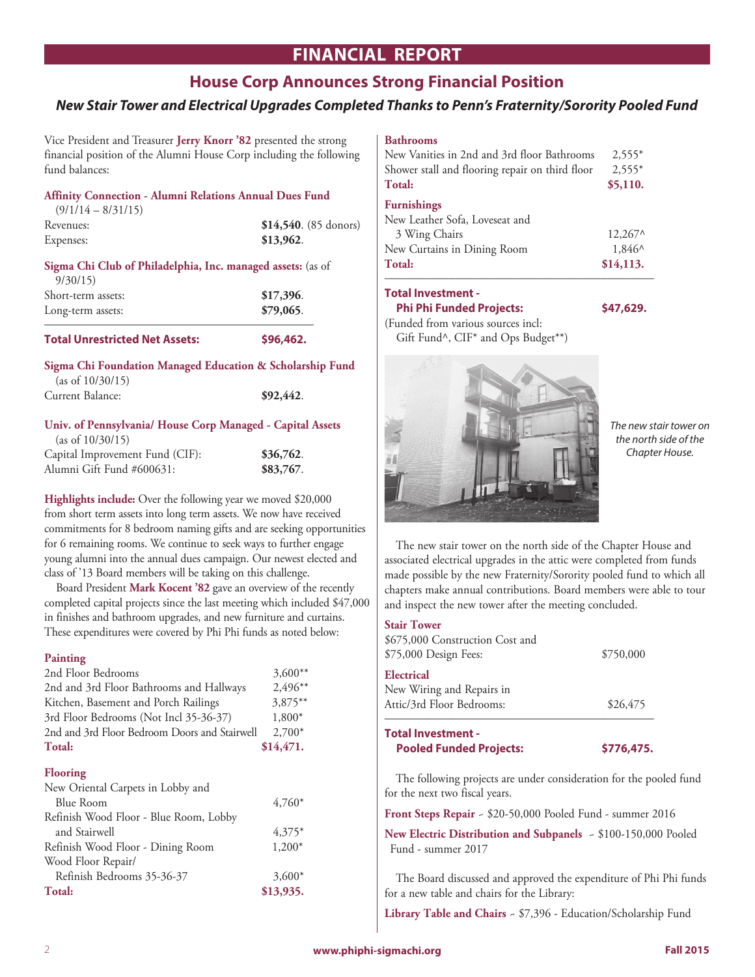# **FINANCIAL REPORT**

## **House Corp Announces Strong Financial Position**

### *New Stair Tower and Electrical Upgrades Completed Thanks to Penn's Fraternity/Sorority Pooled Fund*

Vice President and Treasurer **Jerry Knorr '82** presented the strong financial position of the Alumni House Corp including the following fund balances:

| <b>Total Unrestricted Net Assets:</b>                       | \$96.462.              |
|-------------------------------------------------------------|------------------------|
| Long-term assets:                                           | \$79,065.              |
| Short-term assets:                                          | \$17,396.              |
| 9/30/15                                                     |                        |
| Sigma Chi Club of Philadelphia, Inc. managed assets: (as of |                        |
| Expenses:                                                   | \$13,962.              |
| Revenues:                                                   | $$14,540. (85$ donors) |
| $(9/1/14 - 8/31/15)$                                        |                        |
| Affinity Connection - Alumni Relations Annual Dues Fund     |                        |

#### **Sigma Chi Foundation Managed Education & Scholarship Fund**  (as of 10/30/15)

| Current Balance: | \$92,442. |
|------------------|-----------|
|                  |           |

# **Univ. of Pennsylvania/ House Corp Managed - Capital Assets** (as of 10/30/15)

| Capital Improvement Fund (CIF): | \$36,762. |
|---------------------------------|-----------|
| Alumni Gift Fund #600631:       | \$83,767. |

**Highlights include:** Over the following year we moved \$20,000 from short term assets into long term assets. We now have received commitments for 8 bedroom naming gifts and are seeking opportunities for 6 remaining rooms. We continue to seek ways to further engage young alumni into the annual dues campaign. Our newest elected and class of '13 Board members will be taking on this challenge.

Board President **Mark Kocent '82** gave an overview of the recently completed capital projects since the last meeting which included \$47,000 in finishes and bathroom upgrades, and new furniture and curtains. These expenditures were covered by Phi Phi funds as noted below:

#### **Painting**

| 2nd Floor Bedrooms                            | $3,600**$  |
|-----------------------------------------------|------------|
| 2nd and 3rd Floor Bathrooms and Hallways      | $2,496**$  |
| Kitchen, Basement and Porch Railings          | $3,875***$ |
| 3rd Floor Bedrooms (Not Incl 35-36-37)        | $1,800*$   |
| 2nd and 3rd Floor Bedroom Doors and Stairwell | $2,700*$   |
| Total:                                        | \$14,471.  |
|                                               |            |

#### **Flooring**

| New Oriental Carpets in Lobby and      |           |
|----------------------------------------|-----------|
| Blue Room                              | $4.760*$  |
| Refinish Wood Floor - Blue Room, Lobby |           |
| and Stairwell                          | $4.375*$  |
| Refinish Wood Floor - Dining Room      | $1,200*$  |
| Wood Floor Repair/                     |           |
| Refinish Bedrooms 35-36-37             | $3,600*$  |
| Total:                                 | \$13,935. |

#### **Bathrooms**

| New Vanities in 2nd and 3rd floor Bathrooms     | $2.555*$         |
|-------------------------------------------------|------------------|
| Shower stall and flooring repair on third floor | $2.555*$         |
| Total:                                          | \$5,110.         |
| <b>Furnishings</b>                              |                  |
| New Leather Sofa, Loveseat and                  |                  |
| 3 Wing Chairs                                   | $12.267^{\circ}$ |
| New Curtains in Dining Room                     | 1,846^           |
| Total:                                          | \$14,113.        |

#### **Total Investment -**

#### **Phi Phi Funded Projects: \$47,629.**

(Funded from various sources incl: Gift Fund^, CIF\* and Ops Budget\*\*)



*The new stair tower on the north side of the Chapter House.*

The new stair tower on the north side of the Chapter House and associated electrical upgrades in the attic were completed from funds made possible by the new Fraternity/Sorority pooled fund to which all chapters make annual contributions. Board members were able to tour and inspect the new tower after the meeting concluded.

#### **Stair Tower**

| <b>Total Investment -</b><br><b>Pooled Funded Projects:</b>          | \$776,475. |
|----------------------------------------------------------------------|------------|
| Electrical<br>New Wiring and Repairs in<br>Attic/3rd Floor Bedrooms: | \$26,475   |
| \$675,000 Construction Cost and<br>\$75,000 Design Fees:             | \$750,000  |

The following projects are under consideration for the pooled fund for the next two fiscal years.

**Front Steps Repair** ~ \$20-50,000 Pooled Fund - summer 2016

**New Electric Distribution and Subpanels** ~ \$100-150,000 Pooled Fund - summer 2017

The Board discussed and approved the expenditure of Phi Phi funds for a new table and chairs for the Library:

**Library Table and Chairs** ~ \$7,396 - Education/Scholarship Fund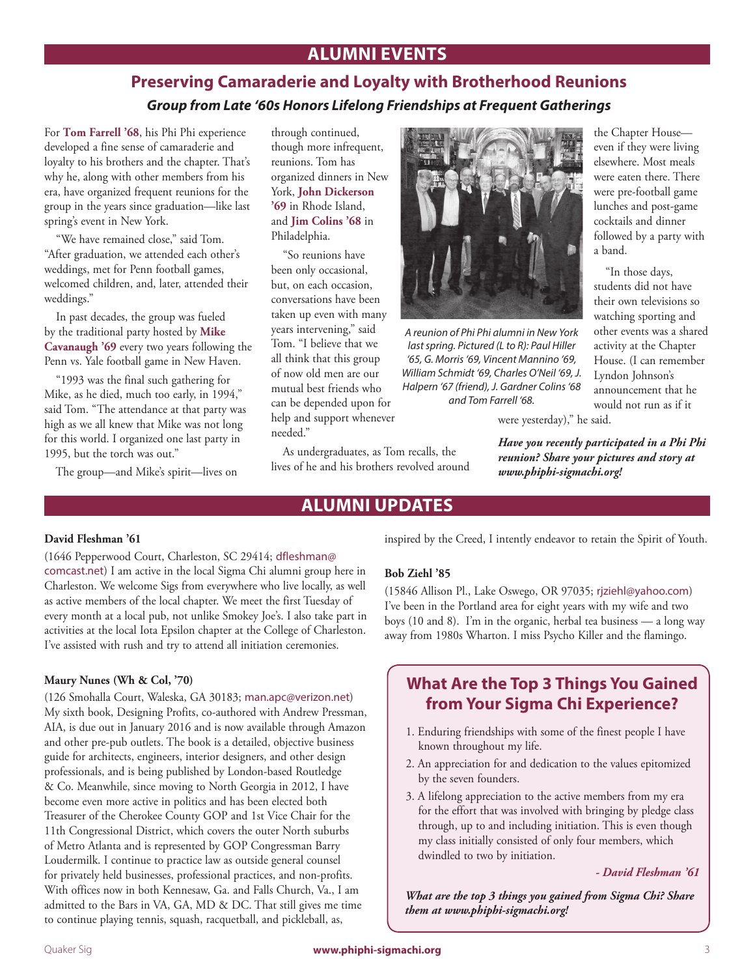# **ALUMNI EVENTS**

# **Preserving Camaraderie and Loyalty with Brotherhood Reunions** *Group from Late '60s Honors Lifelong Friendships at Frequent Gatherings*

For **Tom Farrell '68**, his Phi Phi experience developed a fine sense of camaraderie and loyalty to his brothers and the chapter. That's why he, along with other members from his era, have organized frequent reunions for the group in the years since graduation—like last spring's event in New York.

"We have remained close," said Tom. "After graduation, we attended each other's weddings, met for Penn football games, welcomed children, and, later, attended their weddings."

In past decades, the group was fueled by the traditional party hosted by **Mike Cavanaugh '69** every two years following the Penn vs. Yale football game in New Haven.

"1993 was the final such gathering for Mike, as he died, much too early, in 1994," said Tom. "The attendance at that party was high as we all knew that Mike was not long for this world. I organized one last party in 1995, but the torch was out."

The group—and Mike's spirit—lives on

through continued, though more infrequent, reunions. Tom has organized dinners in New York, **John Dickerson '69** in Rhode Island, and **Jim Colins '68** in Philadelphia.

"So reunions have been only occasional, but, on each occasion, conversations have been taken up even with many years intervening," said Tom. "I believe that we all think that this group of now old men are our mutual best friends who can be depended upon for help and support whenever needed."

As undergraduates, as Tom recalls, the lives of he and his brothers revolved around



*A reunion of Phi Phi alumni in New York last spring. Pictured (L to R): Paul Hiller '65, G. Morris '69, Vincent Mannino '69, William Schmidt '69, Charles O'Neil '69, J. Halpern '67 (friend), J. Gardner Colins '68 and Tom Farrell '68.*

the Chapter House even if they were living elsewhere. Most meals were eaten there. There were pre-football game lunches and post-game cocktails and dinner followed by a party with a band.

"In those days, students did not have their own televisions so watching sporting and other events was a shared activity at the Chapter House. (I can remember Lyndon Johnson's announcement that he would not run as if it

were yesterday)," he said.

*Have you recently participated in a Phi Phi reunion? Share your pictures and story at www.phiphi-sigmachi.org!*

# **ALUMNI UPDATES**

#### **David Fleshman '61**

(1646 Pepperwood Court, Charleston, SC 29414; dfleshman@ comcast.net) I am active in the local Sigma Chi alumni group here in Charleston. We welcome Sigs from everywhere who live locally, as well as active members of the local chapter. We meet the first Tuesday of every month at a local pub, not unlike Smokey Joe's. I also take part in activities at the local Iota Epsilon chapter at the College of Charleston. I've assisted with rush and try to attend all initiation ceremonies.

#### **Maury Nunes (Wh & Col, '70)**

(126 Smohalla Court, Waleska, GA 30183; man.apc@verizon.net) My sixth book, Designing Profits, co-authored with Andrew Pressman, AIA, is due out in January 2016 and is now available through Amazon and other pre-pub outlets. The book is a detailed, objective business guide for architects, engineers, interior designers, and other design professionals, and is being published by London-based Routledge & Co. Meanwhile, since moving to North Georgia in 2012, I have become even more active in politics and has been elected both Treasurer of the Cherokee County GOP and 1st Vice Chair for the 11th Congressional District, which covers the outer North suburbs of Metro Atlanta and is represented by GOP Congressman Barry Loudermilk. I continue to practice law as outside general counsel for privately held businesses, professional practices, and non-profits. With offices now in both Kennesaw, Ga. and Falls Church, Va., I am admitted to the Bars in VA, GA, MD & DC. That still gives me time to continue playing tennis, squash, racquetball, and pickleball, as,

inspired by the Creed, I intently endeavor to retain the Spirit of Youth.

#### **Bob Ziehl '85**

(15846 Allison Pl., Lake Oswego, OR 97035; rjziehl@yahoo.com) I've been in the Portland area for eight years with my wife and two boys (10 and 8). I'm in the organic, herbal tea business — a long way away from 1980s Wharton. I miss Psycho Killer and the flamingo.

## **What Are the Top 3 Things You Gained from Your Sigma Chi Experience?**

- 1. Enduring friendships with some of the finest people I have known throughout my life.
- 2. An appreciation for and dedication to the values epitomized by the seven founders.
- 3. A lifelong appreciation to the active members from my era for the effort that was involved with bringing by pledge class through, up to and including initiation. This is even though my class initially consisted of only four members, which dwindled to two by initiation.

*- David Fleshman '61* 

*What are the top 3 things you gained from Sigma Chi? Share them at www.phiphi-sigmachi.org!*